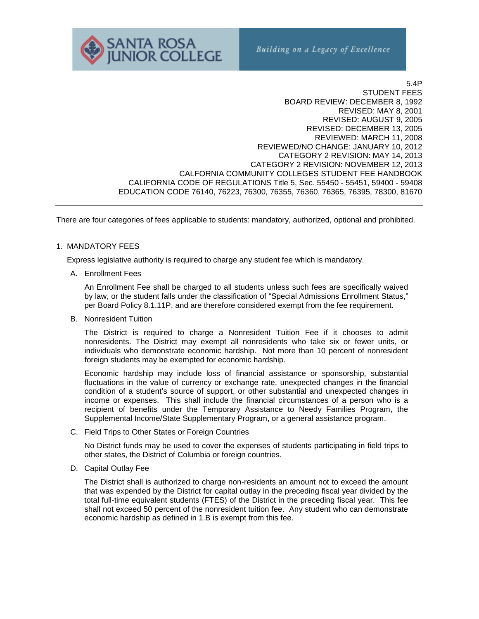

5.4P STUDENT FEES BOARD REVIEW: DECEMBER 8, 1992 REVISED: MAY 8, 2001 REVISED: AUGUST 9, 2005 REVISED: DECEMBER 13, 2005 REVIEWED: MARCH 11, 2008 REVIEWED/NO CHANGE: JANUARY 10, 2012 CATEGORY 2 REVISION: MAY 14, 2013 CATEGORY 2 REVISION: NOVEMBER 12, 2013 CALFORNIA COMMUNITY COLLEGES STUDENT FEE HANDBOOK CALIFORNIA CODE OF REGULATIONS Title 5, Sec. 55450 - 55451, 59400 - 59408 EDUCATION CODE 76140, 76223, 76300, 76355, 76360, 76365, 76395, 78300, 81670

There are four categories of fees applicable to students: mandatory, authorized, optional and prohibited.

#### 1. MANDATORY FEES

Express legislative authority is required to charge any student fee which is mandatory.

A. Enrollment Fees

An Enrollment Fee shall be charged to all students unless such fees are specifically waived by law, or the student falls under the classification of "Special Admissions Enrollment Status," per Board Policy 8.1.11P, and are therefore considered exempt from the fee requirement.

B. Nonresident Tuition

The District is required to charge a Nonresident Tuition Fee if it chooses to admit nonresidents. The District may exempt all nonresidents who take six or fewer units, or individuals who demonstrate economic hardship. Not more than 10 percent of nonresident foreign students may be exempted for economic hardship.

Economic hardship may include loss of financial assistance or sponsorship, substantial fluctuations in the value of currency or exchange rate, unexpected changes in the financial condition of a student's source of support, or other substantial and unexpected changes in income or expenses. This shall include the financial circumstances of a person who is a recipient of benefits under the Temporary Assistance to Needy Families Program, the Supplemental Income/State Supplementary Program, or a general assistance program.

C. Field Trips to Other States or Foreign Countries

No District funds may be used to cover the expenses of students participating in field trips to other states, the District of Columbia or foreign countries.

D. Capital Outlay Fee

The District shall is authorized to charge non-residents an amount not to exceed the amount that was expended by the District for capital outlay in the preceding fiscal year divided by the total full-time equivalent students (FTES) of the District in the preceding fiscal year. This fee shall not exceed 50 percent of the nonresident tuition fee. Any student who can demonstrate economic hardship as defined in 1.B is exempt from this fee.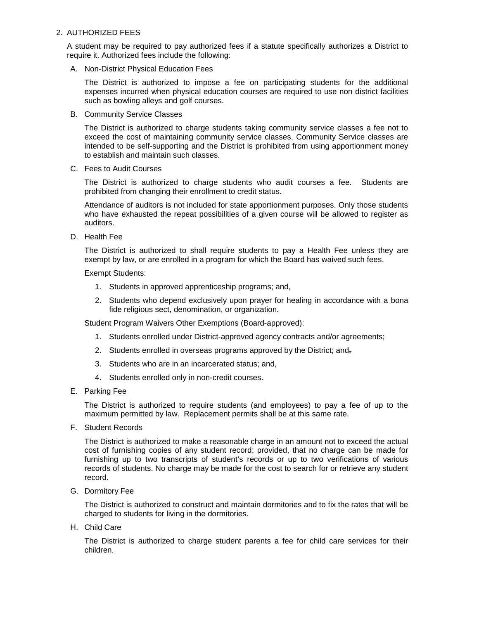### 2. AUTHORIZED FEES

A student may be required to pay authorized fees if a statute specifically authorizes a District to require it. Authorized fees include the following:

A. Non-District Physical Education Fees

The District is authorized to impose a fee on participating students for the additional expenses incurred when physical education courses are required to use non district facilities such as bowling alleys and golf courses.

B. Community Service Classes

The District is authorized to charge students taking community service classes a fee not to exceed the cost of maintaining community service classes. Community Service classes are intended to be self-supporting and the District is prohibited from using apportionment money to establish and maintain such classes.

C. Fees to Audit Courses

The District is authorized to charge students who audit courses a fee. Students are prohibited from changing their enrollment to credit status.

Attendance of auditors is not included for state apportionment purposes. Only those students who have exhausted the repeat possibilities of a given course will be allowed to register as auditors.

D. Health Fee

The District is authorized to shall require students to pay a Health Fee unless they are exempt by law, or are enrolled in a program for which the Board has waived such fees.

Exempt Students:

- 1. Students in approved apprenticeship programs; and,
- 2. Students who depend exclusively upon prayer for healing in accordance with a bona fide religious sect, denomination, or organization.

Student Program Waivers Other Exemptions (Board-approved):

- 1. Students enrolled under District-approved agency contracts and/or agreements;
- 2. Students enrolled in overseas programs approved by the District; and,
- 3. Students who are in an incarcerated status; and,
- 4. Students enrolled only in non-credit courses.
- E. Parking Fee

The District is authorized to require students (and employees) to pay a fee of up to the maximum permitted by law. Replacement permits shall be at this same rate.

F. Student Records

The District is authorized to make a reasonable charge in an amount not to exceed the actual cost of furnishing copies of any student record; provided, that no charge can be made for furnishing up to two transcripts of student's records or up to two verifications of various records of students. No charge may be made for the cost to search for or retrieve any student record.

G. Dormitory Fee

The District is authorized to construct and maintain dormitories and to fix the rates that will be charged to students for living in the dormitories.

H. Child Care

The District is authorized to charge student parents a fee for child care services for their children.